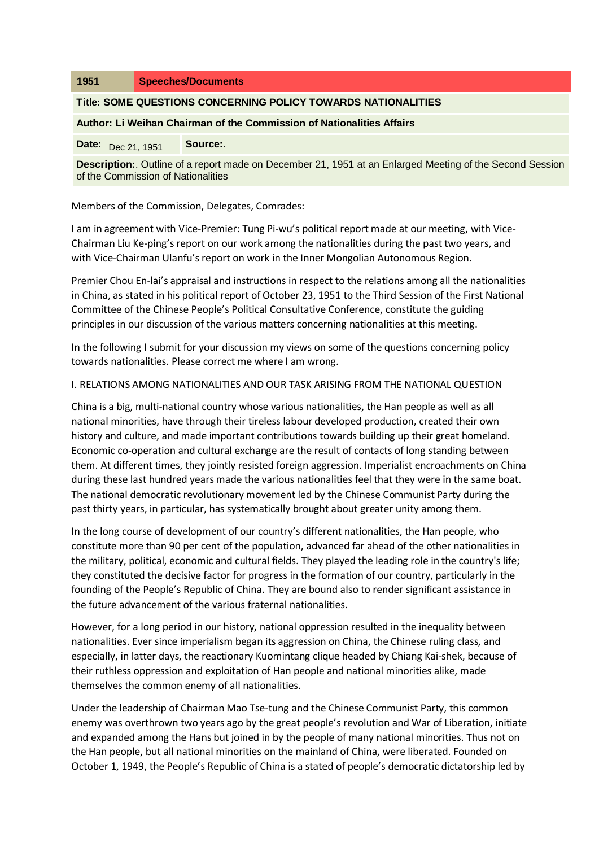| 1951                                                                                                                                                 | <b>Speeches/Documents</b> |
|------------------------------------------------------------------------------------------------------------------------------------------------------|---------------------------|
| Title: SOME QUESTIONS CONCERNING POLICY TOWARDS NATIONALITIES                                                                                        |                           |
| Author: Li Weihan Chairman of the Commission of Nationalities Affairs                                                                                |                           |
| <b>Date:</b> $Dec\ 21, 1951$                                                                                                                         | Source:                   |
| <b>Description:</b> Outline of a report made on December 21, 1951 at an Enlarged Meeting of the Second Session<br>of the Commission of Nationalities |                           |

Members of the Commission, Delegates, Comrades:

I am in agreement with Vice-Premier: Tung Pi-wu's political report made at our meeting, with Vice-Chairman Liu Ke-ping's report on our work among the nationalities during the past two years, and with Vice-Chairman Ulanfu's report on work in the Inner Mongolian Autonomous Region.

Premier Chou En-lai's appraisal and instructions in respect to the relations among all the nationalities in China, as stated in his political report of October 23, 1951 to the Third Session of the First National Committee of the Chinese People's Political Consultative Conference, constitute the guiding principles in our discussion of the various matters concerning nationalities at this meeting.

In the following I submit for your discussion my views on some of the questions concerning policy towards nationalities. Please correct me where I am wrong.

#### I. RELATIONS AMONG NATIONALITIES AND OUR TASK ARISING FROM THE NATIONAL QUESTION

China is a big, multi-national country whose various nationalities, the Han people as well as all national minorities, have through their tireless labour developed production, created their own history and culture, and made important contributions towards building up their great homeland. Economic co-operation and cultural exchange are the result of contacts of long standing between them. At different times, they jointly resisted foreign aggression. Imperialist encroachments on China during these last hundred years made the various nationalities feel that they were in the same boat. The national democratic revolutionary movement led by the Chinese Communist Party during the past thirty years, in particular, has systematically brought about greater unity among them.

In the long course of development of our country's different nationalities, the Han people, who constitute more than 90 per cent of the population, advanced far ahead of the other nationalities in the military, political, economic and cultural fields. They played the leading role in the country's life; they constituted the decisive factor for progress in the formation of our country, particularly in the founding of the People's Republic of China. They are bound also to render significant assistance in the future advancement of the various fraternal nationalities.

However, for a long period in our history, national oppression resulted in the inequality between nationalities. Ever since imperialism began its aggression on China, the Chinese ruling class, and especially, in latter days, the reactionary Kuomintang clique headed by Chiang Kai-shek, because of their ruthless oppression and exploitation of Han people and national minorities alike, made themselves the common enemy of all nationalities.

Under the leadership of Chairman Mao Tse-tung and the Chinese Communist Party, this common enemy was overthrown two years ago by the great people's revolution and War of Liberation, initiate and expanded among the Hans but joined in by the people of many national minorities. Thus not on the Han people, but all national minorities on the mainland of China, were liberated. Founded on October 1, 1949, the People's Republic of China is a stated of people's democratic dictatorship led by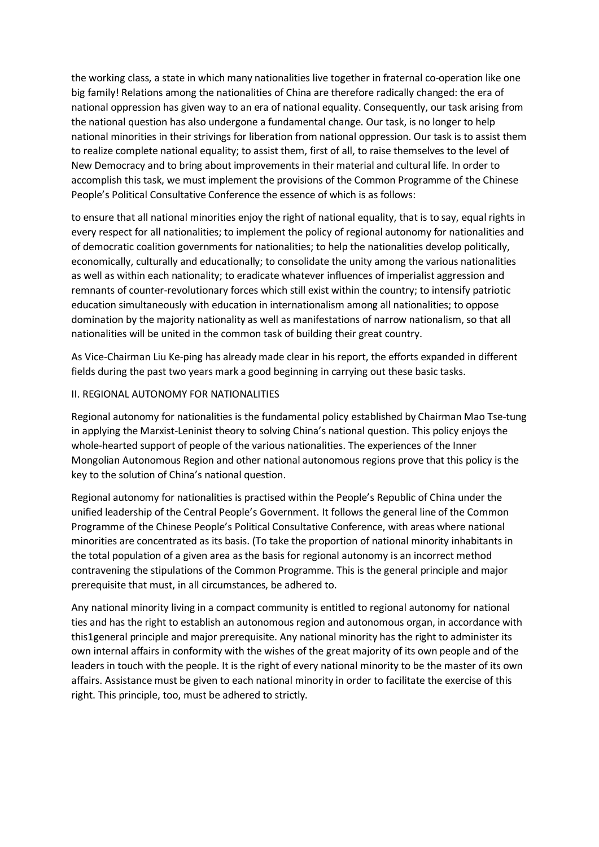the working class, a state in which many nationalities live together in fraternal co-operation like one big family! Relations among the nationalities of China are therefore radically changed: the era of national oppression has given way to an era of national equality. Consequently, our task arising from the national question has also undergone a fundamental change. Our task, is no longer to help national minorities in their strivings for liberation from national oppression. Our task is to assist them to realize complete national equality; to assist them, first of all, to raise themselves to the level of New Democracy and to bring about improvements in their material and cultural life. In order to accomplish this task, we must implement the provisions of the Common Programme of the Chinese People's Political Consultative Conference the essence of which is as follows:

to ensure that all national minorities enjoy the right of national equality, that is to say, equal rights in every respect for all nationalities; to implement the policy of regional autonomy for nationalities and of democratic coalition governments for nationalities; to help the nationalities develop politically, economically, culturally and educationally; to consolidate the unity among the various nationalities as well as within each nationality; to eradicate whatever influences of imperialist aggression and remnants of counter-revolutionary forces which still exist within the country; to intensify patriotic education simultaneously with education in internationalism among all nationalities; to oppose domination by the majority nationality as well as manifestations of narrow nationalism, so that all nationalities will be united in the common task of building their great country.

As Vice-Chairman Liu Ke-ping has already made clear in his report, the efforts expanded in different fields during the past two years mark a good beginning in carrying out these basic tasks.

#### II. REGIONAL AUTONOMY FOR NATIONALITIES

Regional autonomy for nationalities is the fundamental policy established by Chairman Mao Tse-tung in applying the Marxist-Leninist theory to solving China's national question. This policy enjoys the whole-hearted support of people of the various nationalities. The experiences of the Inner Mongolian Autonomous Region and other national autonomous regions prove that this policy is the key to the solution of China's national question.

Regional autonomy for nationalities is practised within the People's Republic of China under the unified leadership of the Central People's Government. It follows the general line of the Common Programme of the Chinese People's Political Consultative Conference, with areas where national minorities are concentrated as its basis. (To take the proportion of national minority inhabitants in the total population of a given area as the basis for regional autonomy is an incorrect method contravening the stipulations of the Common Programme. This is the general principle and major prerequisite that must, in all circumstances, be adhered to.

Any national minority living in a compact community is entitled to regional autonomy for national ties and has the right to establish an autonomous region and autonomous organ, in accordance with this1general principle and major prerequisite. Any national minority has the right to administer its own internal affairs in conformity with the wishes of the great majority of its own people and of the leaders in touch with the people. It is the right of every national minority to be the master of its own affairs. Assistance must be given to each national minority in order to facilitate the exercise of this right. This principle, too, must be adhered to strictly.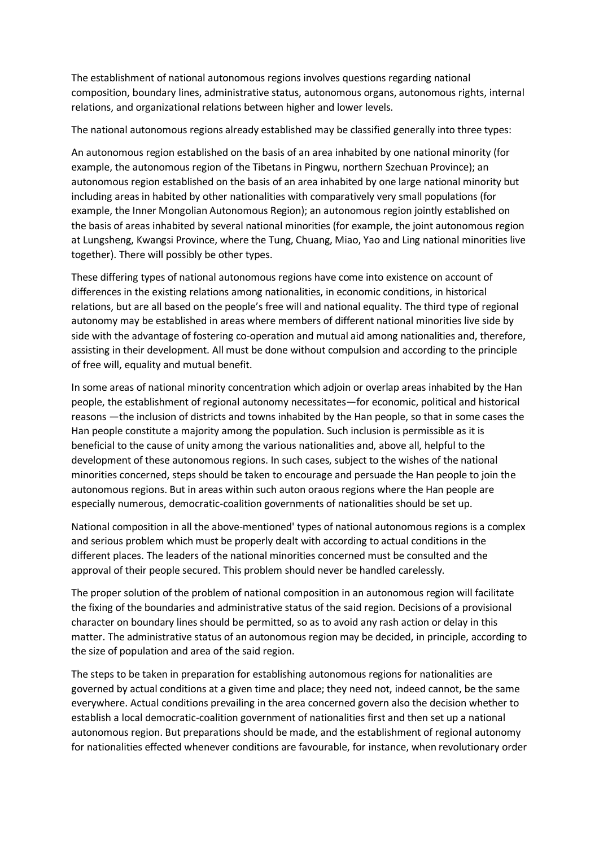The establishment of national autonomous regions involves questions regarding national composition, boundary lines, administrative status, autonomous organs, autonomous rights, internal relations, and organizational relations between higher and lower levels.

The national autonomous regions already established may be classified generally into three types:

An autonomous region established on the basis of an area inhabited by one national minority (for example, the autonomous region of the Tibetans in Pingwu, northern Szechuan Province); an autonomous region established on the basis of an area inhabited by one large national minority but including areas in habited by other nationalities with comparatively very small populations (for example, the Inner Mongolian Autonomous Region); an autonomous region jointly established on the basis of areas inhabited by several national minorities (for example, the joint autonomous region at Lungsheng, Kwangsi Province, where the Tung, Chuang, Miao, Yao and Ling national minorities live together). There will possibly be other types.

These differing types of national autonomous regions have come into existence on account of differences in the existing relations among nationalities, in economic conditions, in historical relations, but are all based on the people's free will and national equality. The third type of regional autonomy may be established in areas where members of different national minorities live side by side with the advantage of fostering co-operation and mutual aid among nationalities and, therefore, assisting in their development. All must be done without compulsion and according to the principle of free will, equality and mutual benefit.

In some areas of national minority concentration which adjoin or overlap areas inhabited by the Han people, the establishment of regional autonomy necessitates—for economic, political and historical reasons —the inclusion of districts and towns inhabited by the Han people, so that in some cases the Han people constitute a majority among the population. Such inclusion is permissible as it is beneficial to the cause of unity among the various nationalities and, above all, helpful to the development of these autonomous regions. In such cases, subject to the wishes of the national minorities concerned, steps should be taken to encourage and persuade the Han people to join the autonomous regions. But in areas within such auton oraous regions where the Han people are especially numerous, democratic-coalition governments of nationalities should be set up.

National composition in all the above-mentioned' types of national autonomous regions is a complex and serious problem which must be properly dealt with according to actual conditions in the different places. The leaders of the national minorities concerned must be consulted and the approval of their people secured. This problem should never be handled carelessly.

The proper solution of the problem of national composition in an autonomous region will facilitate the fixing of the boundaries and administrative status of the said region. Decisions of a provisional character on boundary lines should be permitted, so as to avoid any rash action or delay in this matter. The administrative status of an autonomous region may be decided, in principle, according to the size of population and area of the said region.

The steps to be taken in preparation for establishing autonomous regions for nationalities are governed by actual conditions at a given time and place; they need not, indeed cannot, be the same everywhere. Actual conditions prevailing in the area concerned govern also the decision whether to establish a local democratic-coalition government of nationalities first and then set up a national autonomous region. But preparations should be made, and the establishment of regional autonomy for nationalities effected whenever conditions are favourable, for instance, when revolutionary order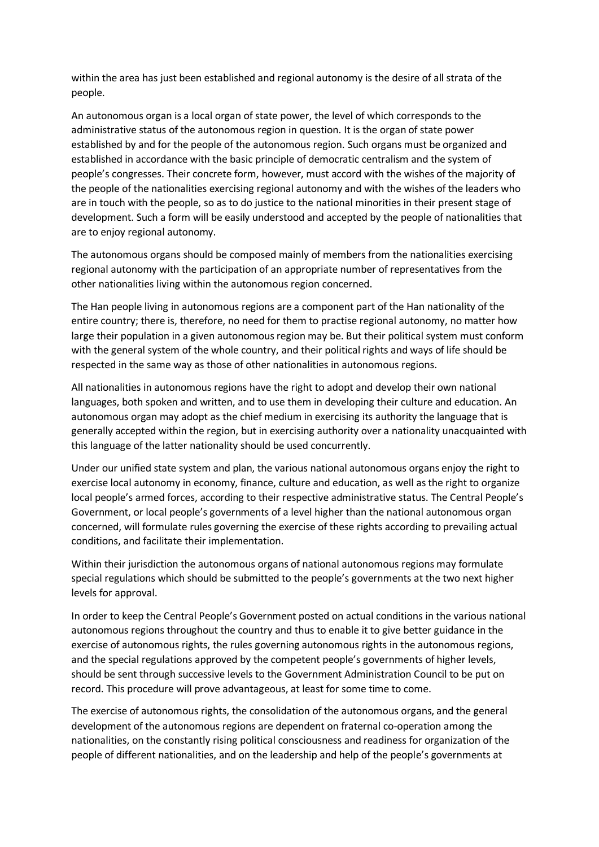within the area has just been established and regional autonomy is the desire of all strata of the people.

An autonomous organ is a local organ of state power, the level of which corresponds to the administrative status of the autonomous region in question. It is the organ of state power established by and for the people of the autonomous region. Such organs must be organized and established in accordance with the basic principle of democratic centralism and the system of people's congresses. Their concrete form, however, must accord with the wishes of the majority of the people of the nationalities exercising regional autonomy and with the wishes of the leaders who are in touch with the people, so as to do justice to the national minorities in their present stage of development. Such a form will be easily understood and accepted by the people of nationalities that are to enjoy regional autonomy.

The autonomous organs should be composed mainly of members from the nationalities exercising regional autonomy with the participation of an appropriate number of representatives from the other nationalities living within the autonomous region concerned.

The Han people living in autonomous regions are a component part of the Han nationality of the entire country; there is, therefore, no need for them to practise regional autonomy, no matter how large their population in a given autonomous region may be. But their political system must conform with the general system of the whole country, and their political rights and ways of life should be respected in the same way as those of other nationalities in autonomous regions.

All nationalities in autonomous regions have the right to adopt and develop their own national languages, both spoken and written, and to use them in developing their culture and education. An autonomous organ may adopt as the chief medium in exercising its authority the language that is generally accepted within the region, but in exercising authority over a nationality unacquainted with this language of the latter nationality should be used concurrently.

Under our unified state system and plan, the various national autonomous organs enjoy the right to exercise local autonomy in economy, finance, culture and education, as well as the right to organize local people's armed forces, according to their respective administrative status. The Central People's Government, or local people's governments of a level higher than the national autonomous organ concerned, will formulate rules governing the exercise of these rights according to prevailing actual conditions, and facilitate their implementation.

Within their jurisdiction the autonomous organs of national autonomous regions may formulate special regulations which should be submitted to the people's governments at the two next higher levels for approval.

In order to keep the Central People's Government posted on actual conditions in the various national autonomous regions throughout the country and thus to enable it to give better guidance in the exercise of autonomous rights, the rules governing autonomous rights in the autonomous regions, and the special regulations approved by the competent people's governments of higher levels, should be sent through successive levels to the Government Administration Council to be put on record. This procedure will prove advantageous, at least for some time to come.

The exercise of autonomous rights, the consolidation of the autonomous organs, and the general development of the autonomous regions are dependent on fraternal co-operation among the nationalities, on the constantly rising political consciousness and readiness for organization of the people of different nationalities, and on the leadership and help of the people's governments at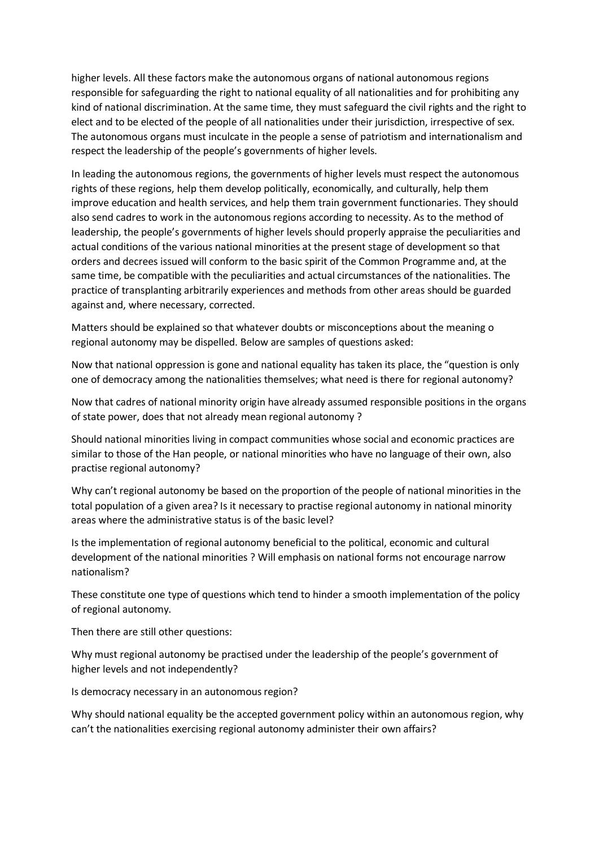higher levels. All these factors make the autonomous organs of national autonomous regions responsible for safeguarding the right to national equality of all nationalities and for prohibiting any kind of national discrimination. At the same time, they must safeguard the civil rights and the right to elect and to be elected of the people of all nationalities under their jurisdiction, irrespective of sex. The autonomous organs must inculcate in the people a sense of patriotism and internationalism and respect the leadership of the people's governments of higher levels.

In leading the autonomous regions, the governments of higher levels must respect the autonomous rights of these regions, help them develop politically, economically, and culturally, help them improve education and health services, and help them train government functionaries. They should also send cadres to work in the autonomous regions according to necessity. As to the method of leadership, the people's governments of higher levels should properly appraise the peculiarities and actual conditions of the various national minorities at the present stage of development so that orders and decrees issued will conform to the basic spirit of the Common Programme and, at the same time, be compatible with the peculiarities and actual circumstances of the nationalities. The practice of transplanting arbitrarily experiences and methods from other areas should be guarded against and, where necessary, corrected.

Matters should be explained so that whatever doubts or misconceptions about the meaning o regional autonomy may be dispelled. Below are samples of questions asked:

Now that national oppression is gone and national equality has taken its place, the "question is only one of democracy among the nationalities themselves; what need is there for regional autonomy?

Now that cadres of national minority origin have already assumed responsible positions in the organs of state power, does that not already mean regional autonomy ?

Should national minorities living in compact communities whose social and economic practices are similar to those of the Han people, or national minorities who have no language of their own, also practise regional autonomy?

Why can't regional autonomy be based on the proportion of the people of national minorities in the total population of a given area? Is it necessary to practise regional autonomy in national minority areas where the administrative status is of the basic level?

Is the implementation of regional autonomy beneficial to the political, economic and cultural development of the national minorities ? Will emphasis on national forms not encourage narrow nationalism?

These constitute one type of questions which tend to hinder a smooth implementation of the policy of regional autonomy.

Then there are still other questions:

Why must regional autonomy be practised under the leadership of the people's government of higher levels and not independently?

Is democracy necessary in an autonomous region?

Why should national equality be the accepted government policy within an autonomous region, why can't the nationalities exercising regional autonomy administer their own affairs?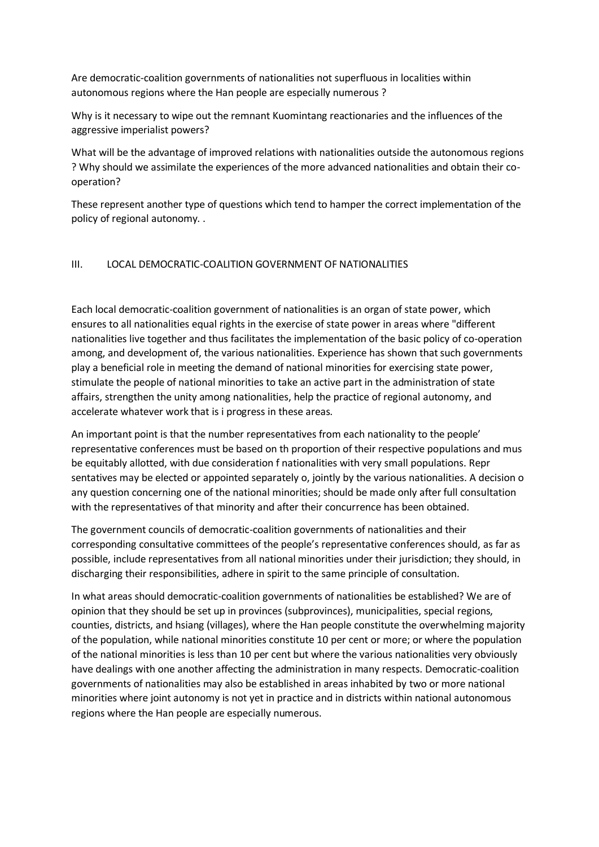Are democratic-coalition governments of nationalities not superfluous in localities within autonomous regions where the Han people are especially numerous ?

Why is it necessary to wipe out the remnant Kuomintang reactionaries and the influences of the aggressive imperialist powers?

What will be the advantage of improved relations with nationalities outside the autonomous regions ? Why should we assimilate the experiences of the more advanced nationalities and obtain their cooperation?

These represent another type of questions which tend to hamper the correct implementation of the policy of regional autonomy. .

#### III. LOCAL DEMOCRATIC-COALITION GOVERNMENT OF NATIONALITIES

Each local democratic-coalition government of nationalities is an organ of state power, which ensures to all nationalities equal rights in the exercise of state power in areas where "different nationalities live together and thus facilitates the implementation of the basic policy of co-operation among, and development of, the various nationalities. Experience has shown that such governments play a beneficial role in meeting the demand of national minorities for exercising state power, stimulate the people of national minorities to take an active part in the administration of state affairs, strengthen the unity among nationalities, help the practice of regional autonomy, and accelerate whatever work that is i progress in these areas.

An important point is that the number representatives from each nationality to the people' representative conferences must be based on th proportion of their respective populations and mus be equitably allotted, with due consideration f nationalities with very small populations. Repr sentatives may be elected or appointed separately o, jointly by the various nationalities. A decision o any question concerning one of the national minorities; should be made only after full consultation with the representatives of that minority and after their concurrence has been obtained.

The government councils of democratic-coalition governments of nationalities and their corresponding consultative committees of the people's representative conferences should, as far as possible, include representatives from all national minorities under their jurisdiction; they should, in discharging their responsibilities, adhere in spirit to the same principle of consultation.

In what areas should democratic-coalition governments of nationalities be established? We are of opinion that they should be set up in provinces (subprovinces), municipalities, special regions, counties, districts, and hsiang (villages), where the Han people constitute the overwhelming majority of the population, while national minorities constitute 10 per cent or more; or where the population of the national minorities is less than 10 per cent but where the various nationalities very obviously have dealings with one another affecting the administration in many respects. Democratic-coalition governments of nationalities may also be established in areas inhabited by two or more national minorities where joint autonomy is not yet in practice and in districts within national autonomous regions where the Han people are especially numerous.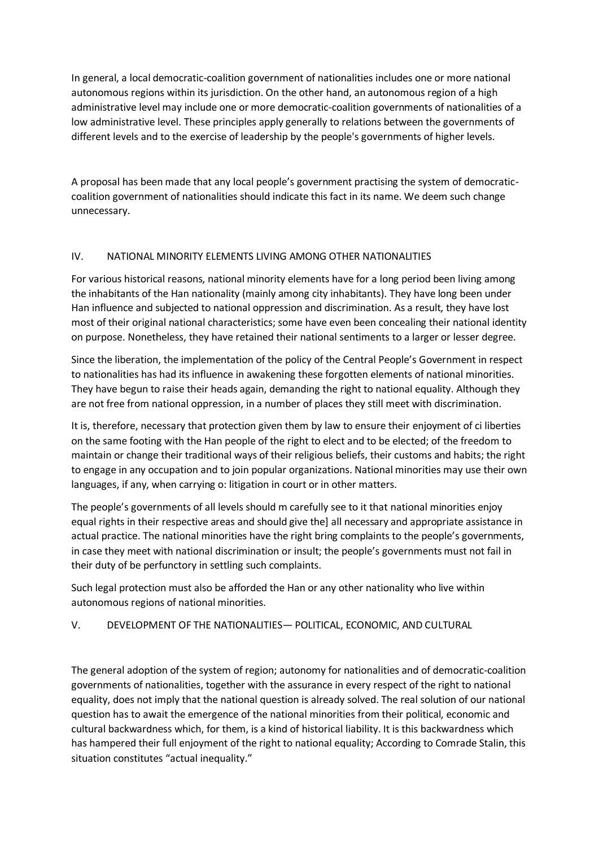In general, a local democratic-coalition government of nationalities includes one or more national autonomous regions within its jurisdiction. On the other hand, an autonomous region of a high administrative level may include one or more democratic-coalition governments of nationalities of a low administrative level. These principles apply generally to relations between the governments of different levels and to the exercise of leadership by the people's governments of higher levels.

A proposal has been made that any local people's government practising the system of democraticcoalition government of nationalities should indicate this fact in its name. We deem such change unnecessary.

## IV. NATIONAL MINORITY ELEMENTS LIVING AMONG OTHER NATIONALITIES

For various historical reasons, national minority elements have for a long period been living among the inhabitants of the Han nationality (mainly among city inhabitants). They have long been under Han influence and subjected to national oppression and discrimination. As a result, they have lost most of their original national characteristics; some have even been concealing their national identity on purpose. Nonetheless, they have retained their national sentiments to a larger or lesser degree.

Since the liberation, the implementation of the policy of the Central People's Government in respect to nationalities has had its influence in awakening these forgotten elements of national minorities. They have begun to raise their heads again, demanding the right to national equality. Although they are not free from national oppression, in a number of places they still meet with discrimination.

It is, therefore, necessary that protection given them by law to ensure their enjoyment of ci liberties on the same footing with the Han people of the right to elect and to be elected; of the freedom to maintain or change their traditional ways of their religious beliefs, their customs and habits; the right to engage in any occupation and to join popular organizations. National minorities may use their own languages, if any, when carrying o: litigation in court or in other matters.

The people's governments of all levels should m carefully see to it that national minorities enjoy equal rights in their respective areas and should give the] all necessary and appropriate assistance in actual practice. The national minorities have the right bring complaints to the people's governments, in case they meet with national discrimination or insult; the people's governments must not fail in their duty of be perfunctory in settling such complaints.

Such legal protection must also be afforded the Han or any other nationality who live within autonomous regions of national minorities.

# V. DEVELOPMENT OF THE NATIONALITIES— POLITICAL, ECONOMIC, AND CULTURAL

The general adoption of the system of region; autonomy for nationalities and of democratic-coalition governments of nationalities, together with the assurance in every respect of the right to national equality, does not imply that the national question is already solved. The real solution of our national question has to await the emergence of the national minorities from their political, economic and cultural backwardness which, for them, is a kind of historical liability. It is this backwardness which has hampered their full enjoyment of the right to national equality; According to Comrade Stalin, this situation constitutes "actual inequality."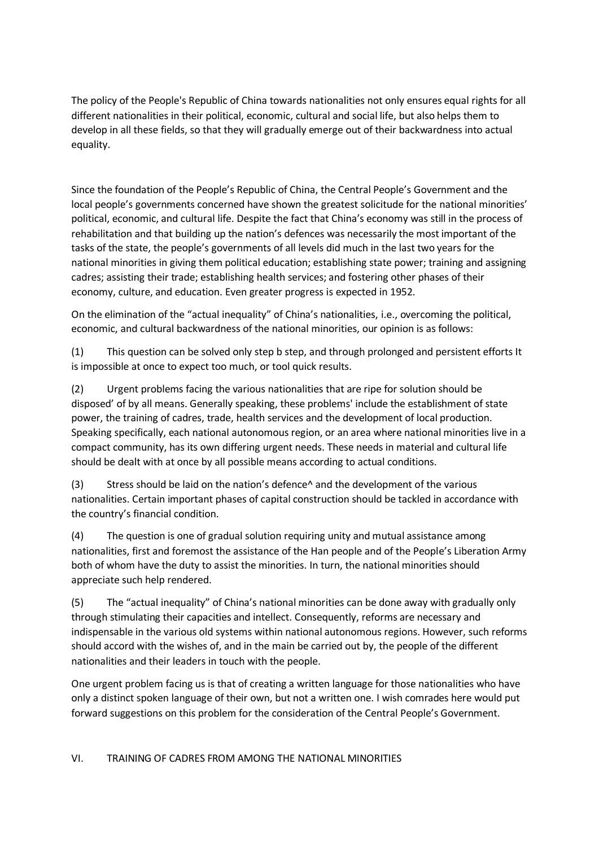The policy of the People's Republic of China towards nationalities not only ensures equal rights for all different nationalities in their political, economic, cultural and social life, but also helps them to develop in all these fields, so that they will gradually emerge out of their backwardness into actual equality.

Since the foundation of the People's Republic of China, the Central People's Government and the local people's governments concerned have shown the greatest solicitude for the national minorities' political, economic, and cultural life. Despite the fact that China's economy was still in the process of rehabilitation and that building up the nation's defences was necessarily the most important of the tasks of the state, the people's governments of all levels did much in the last two years for the national minorities in giving them political education; establishing state power; training and assigning cadres; assisting their trade; establishing health services; and fostering other phases of their economy, culture, and education. Even greater progress is expected in 1952.

On the elimination of the "actual inequality" of China's nationalities, i.e., overcoming the political, economic, and cultural backwardness of the national minorities, our opinion is as follows:

(1) This question can be solved only step b step, and through prolonged and persistent efforts It is impossible at once to expect too much, or tool quick results.

(2) Urgent problems facing the various nationalities that are ripe for solution should be disposed' of by all means. Generally speaking, these problems' include the establishment of state power, the training of cadres, trade, health services and the development of local production. Speaking specifically, each national autonomous region, or an area where national minorities live in a compact community, has its own differing urgent needs. These needs in material and cultural life should be dealt with at once by all possible means according to actual conditions.

(3) Stress should be laid on the nation's defence^ and the development of the various nationalities. Certain important phases of capital construction should be tackled in accordance with the country's financial condition.

(4) The question is one of gradual solution requiring unity and mutual assistance among nationalities, first and foremost the assistance of the Han people and of the People's Liberation Army both of whom have the duty to assist the minorities. In turn, the national minorities should appreciate such help rendered.

(5) The "actual inequality" of China's national minorities can be done away with gradually only through stimulating their capacities and intellect. Consequently, reforms are necessary and indispensable in the various old systems within national autonomous regions. However, such reforms should accord with the wishes of, and in the main be carried out by, the people of the different nationalities and their leaders in touch with the people.

One urgent problem facing us is that of creating a written language for those nationalities who have only a distinct spoken language of their own, but not a written one. I wish comrades here would put forward suggestions on this problem for the consideration of the Central People's Government.

## VI. TRAINING OF CADRES FROM AMONG THE NATIONAL MINORITIES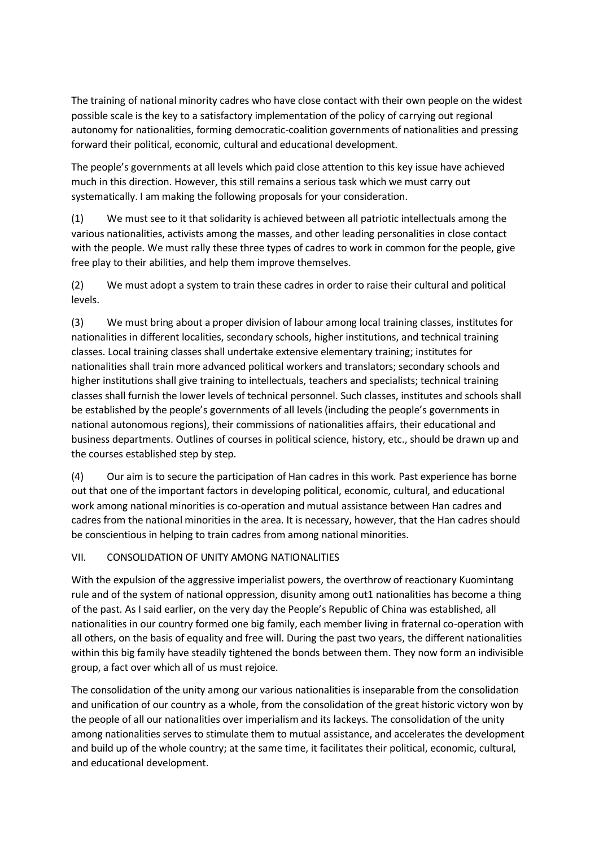The training of national minority cadres who have close contact with their own people on the widest possible scale is the key to a satisfactory implementation of the policy of carrying out regional autonomy for nationalities, forming democratic-coalition governments of nationalities and pressing forward their political, economic, cultural and educational development.

The people's governments at all levels which paid close attention to this key issue have achieved much in this direction. However, this still remains a serious task which we must carry out systematically. I am making the following proposals for your consideration.

(1) We must see to it that solidarity is achieved between all patriotic intellectuals among the various nationalities, activists among the masses, and other leading personalities in close contact with the people. We must rally these three types of cadres to work in common for the people, give free play to their abilities, and help them improve themselves.

(2) We must adopt a system to train these cadres in order to raise their cultural and political levels.

(3) We must bring about a proper division of labour among local training classes, institutes for nationalities in different localities, secondary schools, higher institutions, and technical training classes. Local training classes shall undertake extensive elementary training; institutes for nationalities shall train more advanced political workers and translators; secondary schools and higher institutions shall give training to intellectuals, teachers and specialists; technical training classes shall furnish the lower levels of technical personnel. Such classes, institutes and schools shall be established by the people's governments of all levels (including the people's governments in national autonomous regions), their commissions of nationalities affairs, their educational and business departments. Outlines of courses in political science, history, etc., should be drawn up and the courses established step by step.

(4) Our aim is to secure the participation of Han cadres in this work. Past experience has borne out that one of the important factors in developing political, economic, cultural, and educational work among national minorities is co-operation and mutual assistance between Han cadres and cadres from the national minorities in the area. It is necessary, however, that the Han cadres should be conscientious in helping to train cadres from among national minorities.

## VII. CONSOLIDATION OF UNITY AMONG NATIONALITIES

With the expulsion of the aggressive imperialist powers, the overthrow of reactionary Kuomintang rule and of the system of national oppression, disunity among out1 nationalities has become a thing of the past. As I said earlier, on the very day the People's Republic of China was established, all nationalities in our country formed one big family, each member living in fraternal co-operation with all others, on the basis of equality and free will. During the past two years, the different nationalities within this big family have steadily tightened the bonds between them. They now form an indivisible group, a fact over which all of us must rejoice.

The consolidation of the unity among our various nationalities is inseparable from the consolidation and unification of our country as a whole, from the consolidation of the great historic victory won by the people of all our nationalities over imperialism and its lackeys. The consolidation of the unity among nationalities serves to stimulate them to mutual assistance, and accelerates the development and build up of the whole country; at the same time, it facilitates their political, economic, cultural, and educational development.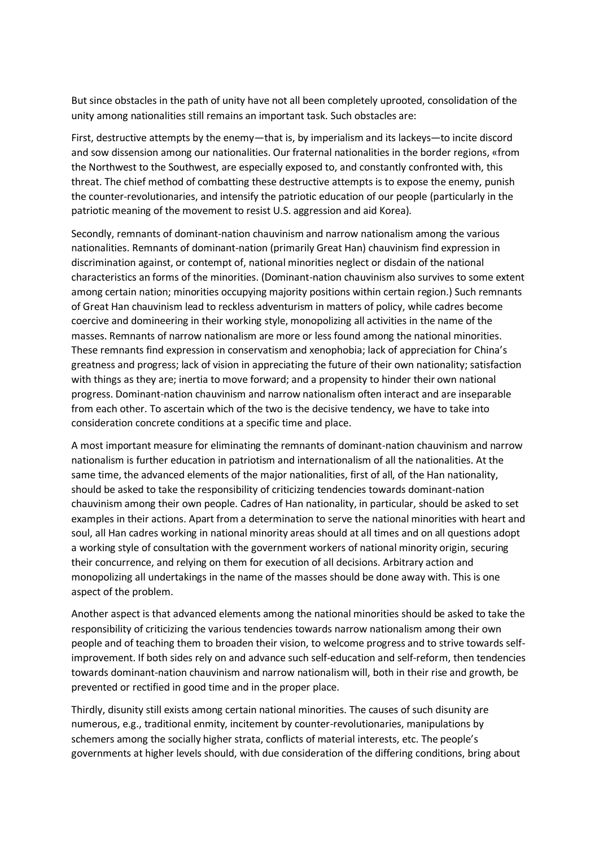But since obstacles in the path of unity have not all been completely uprooted, consolidation of the unity among nationalities still remains an important task. Such obstacles are:

First, destructive attempts by the enemy—that is, by imperialism and its lackeys—to incite discord and sow dissension among our nationalities. Our fraternal nationalities in the border regions, «from the Northwest to the Southwest, are especially exposed to, and constantly confronted with, this threat. The chief method of combatting these destructive attempts is to expose the enemy, punish the counter-revolutionaries, and intensify the patriotic education of our people (particularly in the patriotic meaning of the movement to resist U.S. aggression and aid Korea).

Secondly, remnants of dominant-nation chauvinism and narrow nationalism among the various nationalities. Remnants of dominant-nation (primarily Great Han) chauvinism find expression in discrimination against, or contempt of, national minorities neglect or disdain of the national characteristics an forms of the minorities. (Dominant-nation chauvinism also survives to some extent among certain nation; minorities occupying majority positions within certain region.) Such remnants of Great Han chauvinism lead to reckless adventurism in matters of policy, while cadres become coercive and domineering in their working style, monopolizing all activities in the name of the masses. Remnants of narrow nationalism are more or less found among the national minorities. These remnants find expression in conservatism and xenophobia; lack of appreciation for China's greatness and progress; lack of vision in appreciating the future of their own nationality; satisfaction with things as they are; inertia to move forward; and a propensity to hinder their own national progress. Dominant-nation chauvinism and narrow nationalism often interact and are inseparable from each other. To ascertain which of the two is the decisive tendency, we have to take into consideration concrete conditions at a specific time and place.

A most important measure for eliminating the remnants of dominant-nation chauvinism and narrow nationalism is further education in patriotism and internationalism of all the nationalities. At the same time, the advanced elements of the major nationalities, first of all, of the Han nationality, should be asked to take the responsibility of criticizing tendencies towards dominant-nation chauvinism among their own people. Cadres of Han nationality, in particular, should be asked to set examples in their actions. Apart from a determination to serve the national minorities with heart and soul, all Han cadres working in national minority areas should at all times and on all questions adopt a working style of consultation with the government workers of national minority origin, securing their concurrence, and relying on them for execution of all decisions. Arbitrary action and monopolizing all undertakings in the name of the masses should be done away with. This is one aspect of the problem.

Another aspect is that advanced elements among the national minorities should be asked to take the responsibility of criticizing the various tendencies towards narrow nationalism among their own people and of teaching them to broaden their vision, to welcome progress and to strive towards selfimprovement. If both sides rely on and advance such self-education and self-reform, then tendencies towards dominant-nation chauvinism and narrow nationalism will, both in their rise and growth, be prevented or rectified in good time and in the proper place.

Thirdly, disunity still exists among certain national minorities. The causes of such disunity are numerous, e.g., traditional enmity, incitement by counter-revolutionaries, manipulations by schemers among the socially higher strata, conflicts of material interests, etc. The people's governments at higher levels should, with due consideration of the differing conditions, bring about